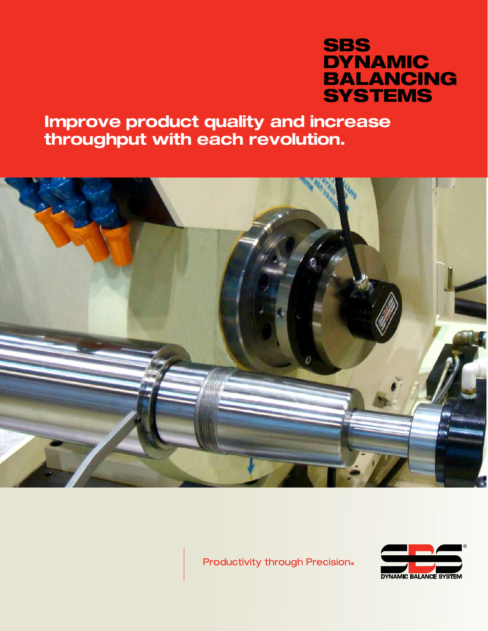# **SBS DYNAMIC** BALANCING **SYSTEMS**

# **Improve product quality and increase throughput with each revolution.**



Productivity through Precision®

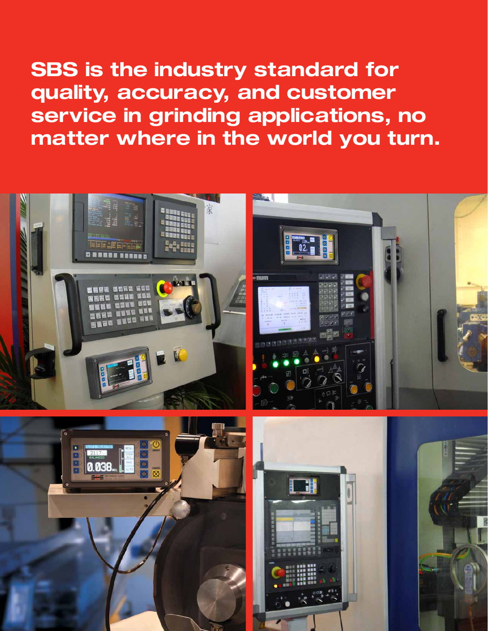**SBS is the industry standard for quality, accuracy, and customer service in grinding applications, no matter where in the world you turn.**

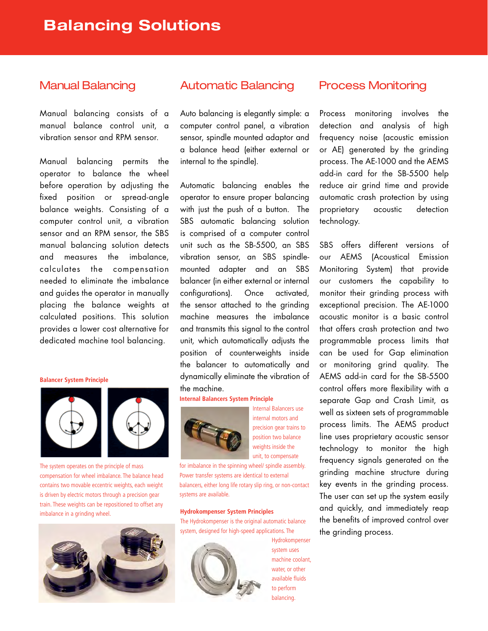### Manual Balancing

Manual balancing consists of a manual balance control unit, a vibration sensor and RPM sensor.

Manual balancing permits the operator to balance the wheel before operation by adjusting the fixed position or spread-angle balance weights. Consisting of a computer control unit, a vibration sensor and an RPM sensor, the SBS manual balancing solution detects and measures the imbalance, calculates the compensation needed to eliminate the imbalance and guides the operator in manually placing the balance weights at calculated positions. This solution provides a lower cost alternative for dedicated machine tool balancing.

#### **Balancer System Principle**



The system operates on the principle of mass compensation for wheel imbalance. The balance head contains two movable eccentric weights, each weight is driven by electric motors through a precision gear train. These weights can be repositioned to offset any imbalance in a grinding wheel.



### Automatic Balancing

Auto balancing is elegantly simple: a computer control panel, a vibration sensor, spindle mounted adaptor and a balance head (either external or internal to the spindle).

Automatic balancing enables the operator to ensure proper balancing with just the push of a button. The SBS automatic balancing solution is comprised of a computer control unit such as the SB-5500, an SBS vibration sensor, an SBS spindlemounted adapter and an SBS balancer (in either external or internal configurations). Once activated, the sensor attached to the grinding machine measures the imbalance and transmits this signal to the control unit, which automatically adjusts the position of counterweights inside the balancer to automatically and dynamically eliminate the vibration of the machine.

#### **Internal Balancers System Principle**



Internal Balancers use internal motors and precision gear trains to position two balance weights inside the unit, to compensate

for imbalance in the spinning wheel/ spindle assembly. Power transfer systems are identical to external balancers, either long life rotary slip ring, or non-contact systems are available.

#### **Hydrokompenser System Principles**

The Hydrokompenser is the original automatic balance system, designed for high-speed applications. The



Hydrokompenser system uses machine coolant, water, or other available fluids to perform balancing.

## Process Monitoring

Process monitoring involves the detection and analysis of high frequency noise (acoustic emission or AE) generated by the grinding process. The AE-1000 and the AEMS add-in card for the SB-5500 help reduce air grind time and provide automatic crash protection by using proprietary acoustic detection technology.

SBS offers different versions of our AEMS (Acoustical Emission Monitoring System) that provide our customers the capability to monitor their grinding process with exceptional precision. The AE-1000 acoustic monitor is a basic control that offers crash protection and two programmable process limits that can be used for Gap elimination or monitoring grind quality. The AEMS add-in card for the SB-5500 control offers more flexibility with a separate Gap and Crash Limit, as well as sixteen sets of programmable process limits. The AEMS product line uses proprietary acoustic sensor technology to monitor the high frequency signals generated on the grinding machine structure during key events in the grinding process. The user can set up the system easily and quickly, and immediately reap the benefits of improved control over the grinding process.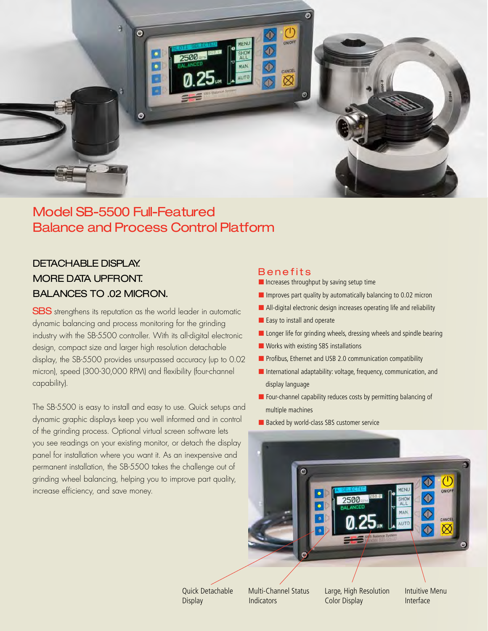

# Model SB-5500 Full-Featured Balance and Process Control Platform

## DETACHABLE DISPLAY. More DATA UPFRONT. BALANCES to .02 micron.

SBS strengthens its reputation as the world leader in automatic dynamic balancing and process monitoring for the grinding industry with the SB-5500 controller. With its all-digital electronic design, compact size and larger high resolution detachable display, the SB-5500 provides unsurpassed accuracy (up to 0.02 micron), speed (300-30,000 RPM) and flexibility (four-channel capability).

The SB-5500 is easy to install and easy to use. Quick setups and dynamic graphic displays keep you well informed and in control of the grinding process. Optional virtual screen software lets you see readings on your existing monitor, or detach the display panel for installation where you want it. As an inexpensive and permanent installation, the SB-5500 takes the challenge out of grinding wheel balancing, helping you to improve part quality, increase efficiency, and save money.

### Benefits

- Increases throughput by saving setup time
- Improves part quality by automatically balancing to 0.02 micron
- All-digital electronic design increases operating life and reliability
- Easy to install and operate
- Longer life for grinding wheels, dressing wheels and spindle bearing
- Works with existing SBS installations
- Profibus, Ethernet and USB 2.0 communication compatibility
- International adaptability: voltage, frequency, communication, and display language
- Four-channel capability reduces costs by permitting balancing of multiple machines
- Backed by world-class SBS customer service



Quick Detachable Multi-Channel Status Large, High Resolution Intuitive Menu

Display Indicators Color Display Interface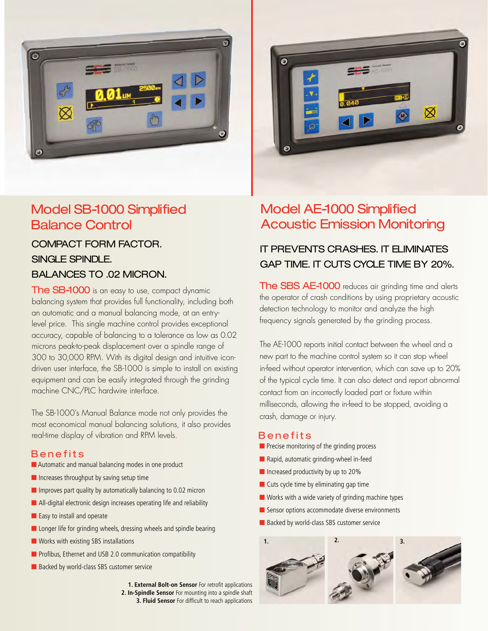

# Model SB-1000 Simplified Balance Control

## Compact form factor. Single spindle. BALANCES to .02 micron.

The SB-1000 is an easy to use, compact dynamic balancing system that provides full functionality, including both an automatic and a manual balancing mode, at an entrylevel price. This single machine control provides exceptional accuracy, capable of balancing to a tolerance as low as 0.02 microns peak-to-peak displacement over a spindle range of 300 to 30,000 RPM. With its digital design and intuitive icondriven user interface, the SB-1000 is simple to install on existing equipment and can be easily integrated through the grinding machine CNC/PLC hardwire interface.

The SB-1000's Manual Balance mode not only provides the most economical manual balancing solutions, it also provides real-time display of vibration and RPM levels.

#### Benefits

- Automatic and manual balancing modes in one product
- Increases throughput by saving setup time
- Improves part quality by automatically balancing to 0.02 micron
- All-digital electronic design increases operating life and reliability
- Easy to install and operate
- Longer life for grinding wheels, dressing wheels and spindle bearing
- Works with existing SBS installations
- Profibus, Ethernet and USB 2.0 communication compatibility
- Backed by world-class SBS customer service

**1. External Bolt-on Sensor** For retrofit applications **2. In-Spindle Sensor** For mounting into a spindle shaft **3. Fluid Sensor** For difficult to reach applications



# Model AE-1000 Simplified Acoustic Emission Monitoring

## IT prevents crashes. It eliminates gap time. IT CUTS cycle time by 20%.

The SBS AE-1000 reduces air grinding time and alerts the operator of crash conditions by using proprietary acoustic detection technology to monitor and analyze the high frequency signals generated by the grinding process.

The AE-1000 reports initial contact between the wheel and a new part to the machine control system so it can stop wheel in-feed without operator intervention, which can save up to 20% of the typical cycle time. It can also detect and report abnormal contact from an incorrectly loaded part or fixture within milliseconds, allowing the in-feed to be stopped, avoiding a crash, damage or injury.

#### Benefits

- Precise monitoring of the grinding process
- Rapid, automatic grinding-wheel in-feed
- Increased productivity by up to 20%
- Cuts cycle time by eliminating gap time
- Works with a wide variety of grinding machine types
- Sensor options accommodate diverse environments
- Backed by world-class SBS customer service